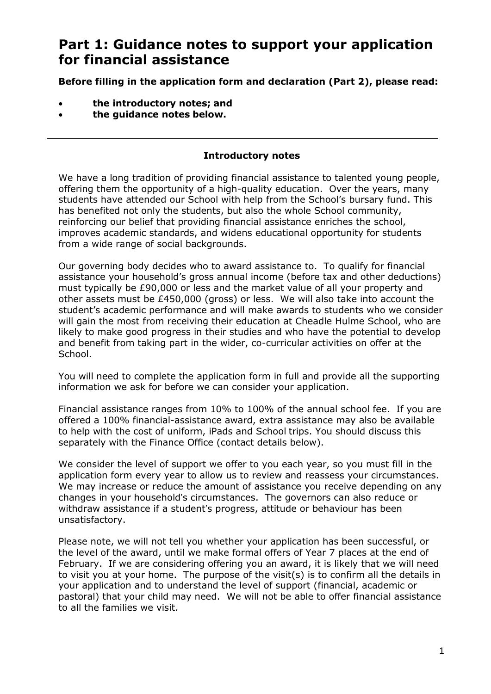# **Part 1: Guidance notes to support your application for financial assistance**

**Before filling in the application form and declaration (Part 2), please read:**

- **the introductory notes; and**
- **the guidance notes below.**

### **Introductory notes**

We have a long tradition of providing financial assistance to talented young people, offering them the opportunity of a high-quality education. Over the years, many students have attended our School with help from the School's bursary fund. This has benefited not only the students, but also the whole School community, reinforcing our belief that providing financial assistance enriches the school, improves academic standards, and widens educational opportunity for students from a wide range of social backgrounds.

Our governing body decides who to award assistance to. To qualify for financial assistance your household's gross annual income (before tax and other deductions) must typically be £90,000 or less and the market value of all your property and other assets must be £450,000 (gross) or less. We will also take into account the student's academic performance and will make awards to students who we consider will gain the most from receiving their education at Cheadle Hulme School, who are likely to make good progress in their studies and who have the potential to develop and benefit from taking part in the wider, co-curricular activities on offer at the School.

You will need to complete the application form in full and provide all the supporting information we ask for before we can consider your application.

Financial assistance ranges from 10% to 100% of the annual school fee. If you are offered a 100% financial-assistance award, extra assistance may also be available to help with the cost of uniform, iPads and School trips. You should discuss this separately with the Finance Office (contact details below).

We consider the level of support we offer to you each year, so you must fill in the application form every year to allow us to review and reassess your circumstances. We may increase or reduce the amount of assistance you receive depending on any changes in your household's circumstances. The governors can also reduce or withdraw assistance if a student's progress, attitude or behaviour has been unsatisfactory.

Please note, we will not tell you whether your application has been successful, or the level of the award, until we make formal offers of Year 7 places at the end of February. If we are considering offering you an award, it is likely that we will need to visit you at your home. The purpose of the visit(s) is to confirm all the details in your application and to understand the level of support (financial, academic or pastoral) that your child may need. We will not be able to offer financial assistance to all the families we visit.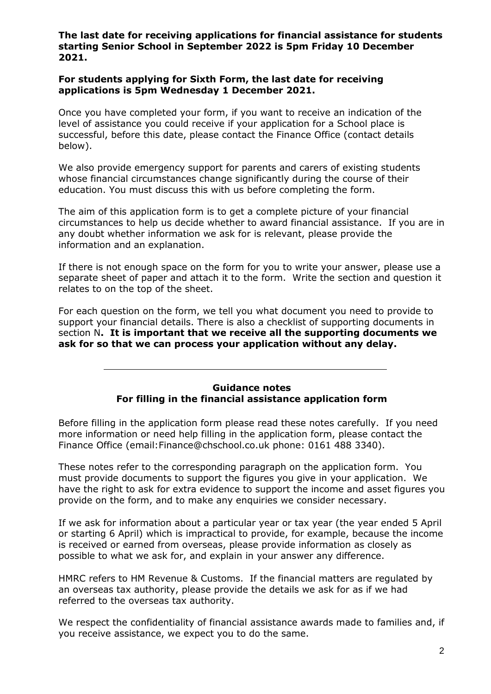#### **The last date for receiving applications for financial assistance for students starting Senior School in September 2022 is 5pm Friday 10 December 2021.**

### **For students applying for Sixth Form, the last date for receiving applications is 5pm Wednesday 1 December 2021.**

Once you have completed your form, if you want to receive an indication of the level of assistance you could receive if your application for a School place is successful, before this date, please contact the Finance Office (contact details below).

We also provide emergency support for parents and carers of existing students whose financial circumstances change significantly during the course of their education. You must discuss this with us before completing the form.

The aim of this application form is to get a complete picture of your financial circumstances to help us decide whether to award financial assistance. If you are in any doubt whether information we ask for is relevant, please provide the information and an explanation.

If there is not enough space on the form for you to write your answer, please use a separate sheet of paper and attach it to the form. Write the section and question it relates to on the top of the sheet.

For each question on the form, we tell you what document you need to provide to support your financial details. There is also a checklist of supporting documents in section N**. It is important that we receive all the supporting documents we ask for so that we can process your application without any delay.**

### **Guidance notes For filling in the financial assistance application form**

Before filling in the application form please read these notes carefully. If you need more information or need help filling in the application form, please contact the Finance Office (email:Finance@chschool.co.uk phone: 0161 488 3340).

These notes refer to the corresponding paragraph on the application form. You must provide documents to support the figures you give in your application. We have the right to ask for extra evidence to support the income and asset figures you provide on the form, and to make any enquiries we consider necessary.

If we ask for information about a particular year or tax year (the year ended 5 April or starting 6 April) which is impractical to provide, for example, because the income is received or earned from overseas, please provide information as closely as possible to what we ask for, and explain in your answer any difference.

HMRC refers to HM Revenue & Customs. If the financial matters are regulated by an overseas tax authority, please provide the details we ask for as if we had referred to the overseas tax authority.

We respect the confidentiality of financial assistance awards made to families and, if you receive assistance, we expect you to do the same.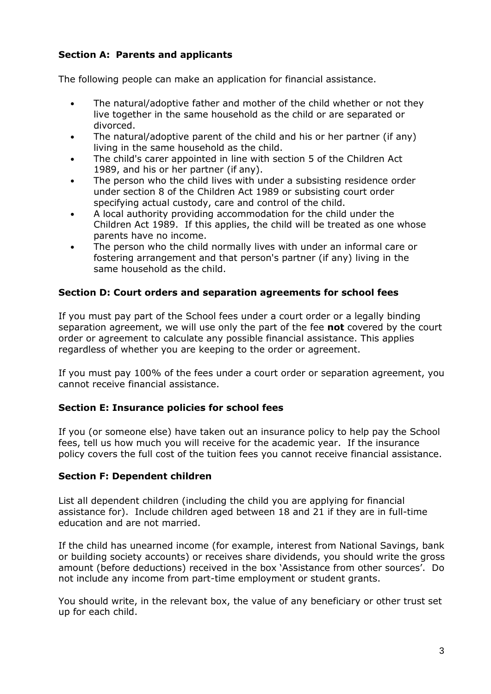# **Section A: Parents and applicants**

The following people can make an application for financial assistance.

- The natural/adoptive father and mother of the child whether or not they live together in the same household as the child or are separated or divorced.
- The natural/adoptive parent of the child and his or her partner (if any) living in the same household as the child.
- The child's carer appointed in line with section 5 of the Children Act 1989, and his or her partner (if any).
- The person who the child lives with under a subsisting residence order under section 8 of the Children Act 1989 or subsisting court order specifying actual custody, care and control of the child.
- A local authority providing accommodation for the child under the Children Act 1989. If this applies, the child will be treated as one whose parents have no income.
- The person who the child normally lives with under an informal care or fostering arrangement and that person's partner (if any) living in the same household as the child.

# **Section D: Court orders and separation agreements for school fees**

If you must pay part of the School fees under a court order or a legally binding separation agreement, we will use only the part of the fee **not** covered by the court order or agreement to calculate any possible financial assistance. This applies regardless of whether you are keeping to the order or agreement.

If you must pay 100% of the fees under a court order or separation agreement, you cannot receive financial assistance.

# **Section E: Insurance policies for school fees**

If you (or someone else) have taken out an insurance policy to help pay the School fees, tell us how much you will receive for the academic year. If the insurance policy covers the full cost of the tuition fees you cannot receive financial assistance.

# **Section F: Dependent children**

List all dependent children (including the child you are applying for financial assistance for). Include children aged between 18 and 21 if they are in full-time education and are not married.

If the child has unearned income (for example, interest from National Savings, bank or building society accounts) or receives share dividends, you should write the gross amount (before deductions) received in the box 'Assistance from other sources'. Do not include any income from part-time employment or student grants.

You should write, in the relevant box, the value of any beneficiary or other trust set up for each child.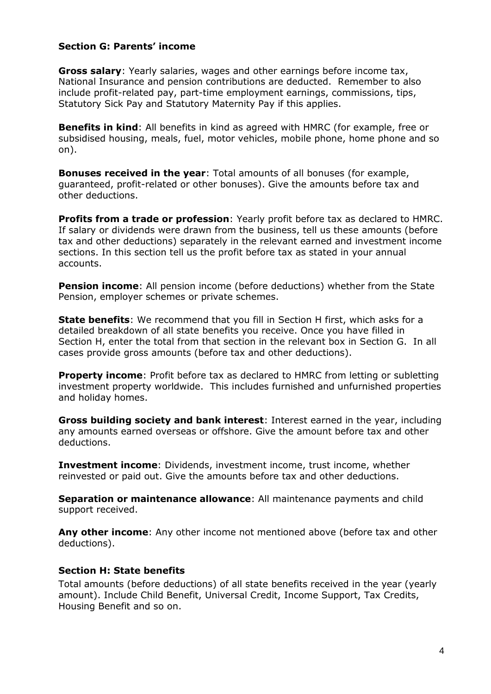### **Section G: Parents' income**

**Gross salary**: Yearly salaries, wages and other earnings before income tax, National Insurance and pension contributions are deducted. Remember to also include profit-related pay, part-time employment earnings, commissions, tips, Statutory Sick Pay and Statutory Maternity Pay if this applies.

**Benefits in kind**: All benefits in kind as agreed with HMRC (for example, free or subsidised housing, meals, fuel, motor vehicles, mobile phone, home phone and so on).

**Bonuses received in the year**: Total amounts of all bonuses (for example, guaranteed, profit-related or other bonuses). Give the amounts before tax and other deductions.

**Profits from a trade or profession**: Yearly profit before tax as declared to HMRC. If salary or dividends were drawn from the business, tell us these amounts (before tax and other deductions) separately in the relevant earned and investment income sections. In this section tell us the profit before tax as stated in your annual accounts.

**Pension income**: All pension income (before deductions) whether from the State Pension, employer schemes or private schemes.

**State benefits**: We recommend that you fill in Section H first, which asks for a detailed breakdown of all state benefits you receive. Once you have filled in Section H, enter the total from that section in the relevant box in Section G. In all cases provide gross amounts (before tax and other deductions).

**Property income**: Profit before tax as declared to HMRC from letting or subletting investment property worldwide. This includes furnished and unfurnished properties and holiday homes.

**Gross building society and bank interest**: Interest earned in the year, including any amounts earned overseas or offshore. Give the amount before tax and other deductions.

**Investment income**: Dividends, investment income, trust income, whether reinvested or paid out. Give the amounts before tax and other deductions.

**Separation or maintenance allowance**: All maintenance payments and child support received.

**Any other income**: Any other income not mentioned above (before tax and other deductions).

#### **Section H: State benefits**

Total amounts (before deductions) of all state benefits received in the year (yearly amount). Include Child Benefit, Universal Credit, Income Support, Tax Credits, Housing Benefit and so on.